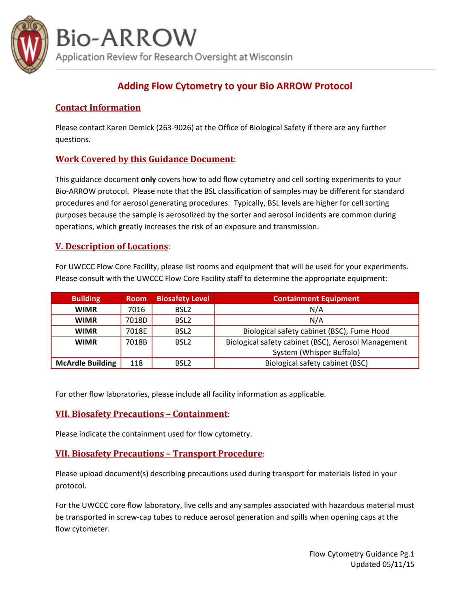

## **Bio-ARROW**

Application Review for Research Oversight at Wisconsin

## **Adding Flow Cytometry to your Bio ARROW Protocol**

## **Contact Information**

Please contact Karen Demick (263-9026) at the Office of Biological Safety if there are any further questions.

## **Work Covered by this Guidance Document:**

This guidance document only covers how to add flow cytometry and cell sorting experiments to your Bio-ARROW protocol. Please note that the BSL classification of samples may be different for standard procedures and for aerosol generating procedures. Typically, BSL levels are higher for cell sorting purposes because the sample is aerosolized by the sorter and aerosol incidents are common during operations, which greatly increases the risk of an exposure and transmission.

### **V. Description of Locations:**

For UWCCC Flow Core Facility, please list rooms and equipment that will be used for your experiments. Please consult with the UWCCC Flow Core Facility staff to determine the appropriate equipment:

| <b>Building</b>         | <b>Room</b> | <b>Biosafety Level</b> | <b>Containment Equipment</b>                        |
|-------------------------|-------------|------------------------|-----------------------------------------------------|
| <b>WIMR</b>             | 7016        | BSL <sub>2</sub>       | N/A                                                 |
| <b>WIMR</b>             | 7018D       | BSL <sub>2</sub>       | N/A                                                 |
| <b>WIMR</b>             | 7018E       | BSL <sub>2</sub>       | Biological safety cabinet (BSC), Fume Hood          |
| <b>WIMR</b>             | 7018B       | BSL <sub>2</sub>       | Biological safety cabinet (BSC), Aerosol Management |
|                         |             |                        | System (Whisper Buffalo)                            |
| <b>McArdle Building</b> | 118         | BSL <sub>2</sub>       | Biological safety cabinet (BSC)                     |

For other flow laboratories, please include all facility information as applicable.

#### **VII. Biosafety Precautions – Containment**:

Please indicate the containment used for flow cytometry.

#### **<u>VII. Biosafety Precautions - Transport Procedure</u>:**

Please upload document(s) describing precautions used during transport for materials listed in your protocol.

For the UWCCC core flow laboratory, live cells and any samples associated with hazardous material must be transported in screw-cap tubes to reduce aerosol generation and spills when opening caps at the flow cytometer.